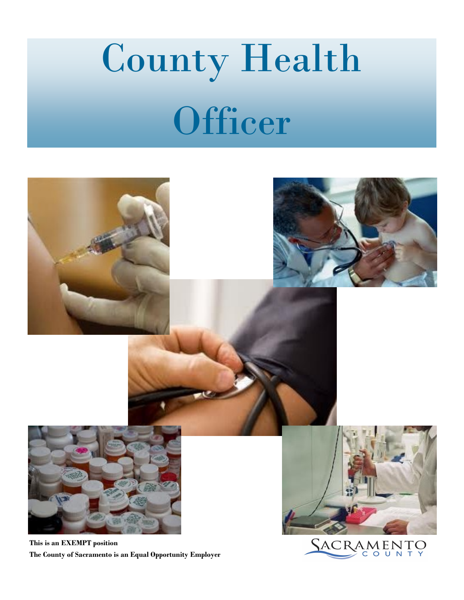# County Health **Officer**



**This is an EXEMPT position The County of Sacramento is an Equal Opportunity Employer**

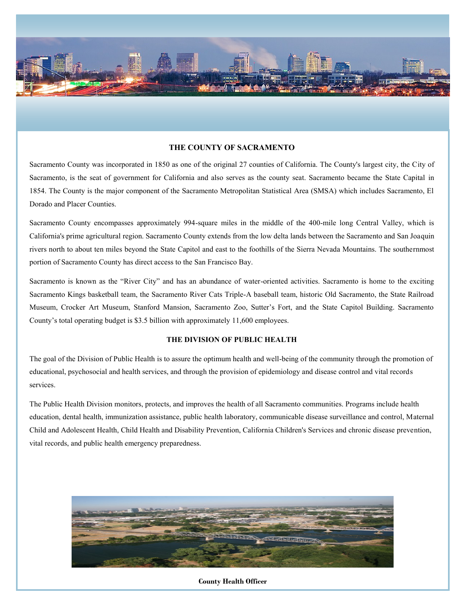

# **THE COUNTY OF SACRAMENTO**

Sacramento County was incorporated in 1850 as one of the original 27 counties of California. The County's largest city, the City of Sacramento, is the seat of government for California and also serves as the county seat. Sacramento became the State Capital in 1854. The County is the major component of the Sacramento Metropolitan Statistical Area (SMSA) which includes Sacramento, El Dorado and Placer Counties.

Sacramento County encompasses approximately 994-square miles in the middle of the 400-mile long Central Valley, which is California's prime agricultural region. Sacramento County extends from the low delta lands between the Sacramento and San Joaquin rivers north to about ten miles beyond the State Capitol and east to the foothills of the Sierra Nevada Mountains. The southernmost portion of Sacramento County has direct access to the San Francisco Bay.

Sacramento is known as the "River City" and has an abundance of water-oriented activities. Sacramento is home to the exciting Sacramento Kings basketball team, the Sacramento River Cats Triple-A baseball team, historic Old Sacramento, the State Railroad Museum, Crocker Art Museum, Stanford Mansion, Sacramento Zoo, Sutter's Fort, and the State Capitol Building. Sacramento County's total operating budget is \$3.5 billion with approximately 11,600 employees.

## **THE DIVISION OF PUBLIC HEALTH**

The goal of the Division of Public Health is to assure the optimum health and well-being of the community through the promotion of educational, psychosocial and health services, and through the provision of epidemiology and disease control and vital records services.

The Public Health Division monitors, protects, and improves the health of all Sacramento communities. Programs include health education, dental health, immunization assistance, public health laboratory, communicable disease surveillance and control, Maternal Child and Adolescent Health, Child Health and Disability Prevention, California Children's Services and chronic disease prevention, vital records, and public health emergency preparedness.



## **County Health Officer**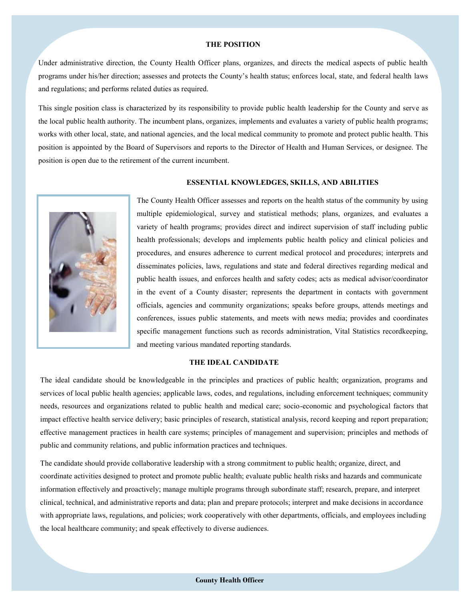#### **THE POSITION**

Under administrative direction, the County Health Officer plans, organizes, and directs the medical aspects of public health programs under his/her direction; assesses and protects the County's health status; enforces local, state, and federal health laws and regulations; and performs related duties as required.

This single position class is characterized by its responsibility to provide public health leadership for the County and serve as the local public health authority. The incumbent plans, organizes, implements and evaluates a variety of public health programs; works with other local, state, and national agencies, and the local medical community to promote and protect public health. This position is appointed by the Board of Supervisors and reports to the Director of Health and Human Services, or designee. The position is open due to the retirement of the current incumbent.

#### **ESSENTIAL KNOWLEDGES, SKILLS, AND ABILITIES**



The County Health Officer assesses and reports on the health status of the community by using multiple epidemiological, survey and statistical methods; plans, organizes, and evaluates a variety of health programs; provides direct and indirect supervision of staff including public health professionals; develops and implements public health policy and clinical policies and procedures, and ensures adherence to current medical protocol and procedures; interprets and disseminates policies, laws, regulations and state and federal directives regarding medical and public health issues, and enforces health and safety codes; acts as medical advisor/coordinator in the event of a County disaster; represents the department in contacts with government officials, agencies and community organizations; speaks before groups, attends meetings and conferences, issues public statements, and meets with news media; provides and coordinates specific management functions such as records administration, Vital Statistics recordkeeping, and meeting various mandated reporting standards.

## **THE IDEAL CANDIDATE**

The ideal candidate should be knowledgeable in the principles and practices of public health; organization, programs and services of local public health agencies; applicable laws, codes, and regulations, including enforcement techniques; community needs, resources and organizations related to public health and medical care; socio-economic and psychological factors that impact effective health service delivery; basic principles of research, statistical analysis, record keeping and report preparation; effective management practices in health care systems; principles of management and supervision; principles and methods of public and community relations, and public information practices and techniques.

The candidate should provide collaborative leadership with a strong commitment to public health; organize, direct, and coordinate activities designed to protect and promote public health; evaluate public health risks and hazards and communicate information effectively and proactively; manage multiple programs through subordinate staff; research, prepare, and interpret clinical, technical, and administrative reports and data; plan and prepare protocols; interpret and make decisions in accordance with appropriate laws, regulations, and policies; work cooperatively with other departments, officials, and employees including the local healthcare community; and speak effectively to diverse audiences.